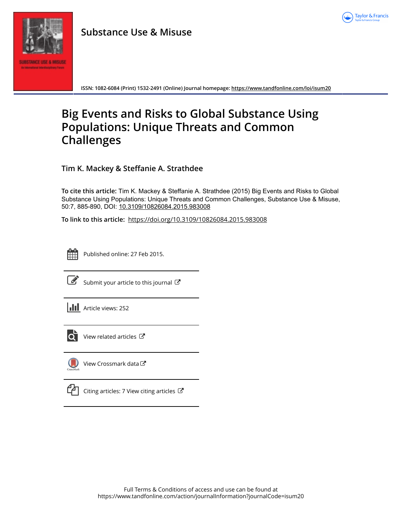



**ISSN: 1082-6084 (Print) 1532-2491 (Online) Journal homepage:<https://www.tandfonline.com/loi/isum20>**

# **Big Events and Risks to Global Substance Using Populations: Unique Threats and Common Challenges**

**Tim K. Mackey & Steffanie A. Strathdee**

**To cite this article:** Tim K. Mackey & Steffanie A. Strathdee (2015) Big Events and Risks to Global Substance Using Populations: Unique Threats and Common Challenges, Substance Use & Misuse, 50:7, 885-890, DOI: [10.3109/10826084.2015.983008](https://www.tandfonline.com/action/showCitFormats?doi=10.3109/10826084.2015.983008)

**To link to this article:** <https://doi.org/10.3109/10826084.2015.983008>



Published online: 27 Feb 2015.



 $\overrightarrow{S}$  [Submit your article to this journal](https://www.tandfonline.com/action/authorSubmission?journalCode=isum20&show=instructions)  $\overrightarrow{S}$ 





 $\overline{\mathbf{C}}$  [View related articles](https://www.tandfonline.com/doi/mlt/10.3109/10826084.2015.983008)  $\mathbf{C}$ 



[View Crossmark data](http://crossmark.crossref.org/dialog/?doi=10.3109/10826084.2015.983008&domain=pdf&date_stamp=2015-02-27)

| Canting articles: 7 View citing articles C |  |  |  |
|--------------------------------------------|--|--|--|
|--------------------------------------------|--|--|--|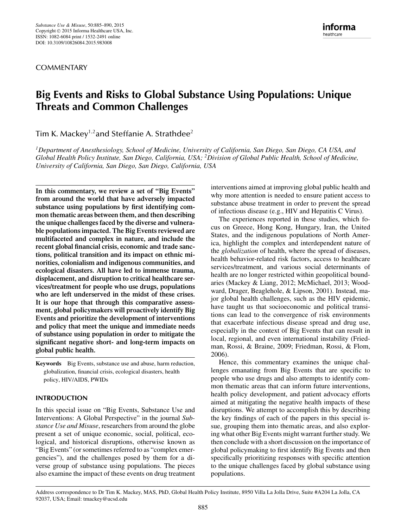**COMMENTARY** 

## **Big Events and Risks to Global Substance Using Populations: Unique Threats and Common Challenges**

Tim K. Mackey<sup>1,2</sup> and Steffanie A. Strathdee<sup>2</sup>

*1Department of Anesthesiology, School of Medicine, University of California, San Diego, San Diego, CA USA, and Global Health Policy Institute, San Diego, California, USA; 2Division of Global Public Health, School of Medicine, University of California, San Diego, San Diego, California, USA*

**In this commentary, we review a set of "Big Events" from around the world that have adversely impacted substance using populations by first identifying common thematic areas between them, and then describing the unique challenges faced by the diverse and vulnerable populations impacted. The Big Events reviewed are multifaceted and complex in nature, and include the recent global financial crisis, economic and trade sanctions, political transition and its impact on ethnic minorities, colonialism and indigenous communities, and ecological disasters. All have led to immense trauma, displacement, and disruption to critical healthcare services/treatment for people who use drugs, populations who are left underserved in the midst of these crises. It is our hope that through this comparative assessment, global policymakers will proactively identify Big Events and prioritize the development of interventions and policy that meet the unique and immediate needs of substance using population in order to mitigate the significant negative short- and long-term impacts on global public health.**

**Keywords** Big Events, substance use and abuse, harm reduction, globalization, financial crisis, ecological disasters, health policy, HIV/AIDS, PWIDs

## **INTRODUCTION**

In this special issue on "Big Events, Substance Use and Interventions: A Global Perspective" in the journal *Substance Use and Misuse*, researchers from around the globe present a set of unique economic, social, political, ecological, and historical disruptions, otherwise known as "Big Events" (or sometimes referred to as "complex emergencies"), and the challenges posed by them for a diverse group of substance using populations. The pieces also examine the impact of these events on drug treatment interventions aimed at improving global public health and why more attention is needed to ensure patient access to substance abuse treatment in order to prevent the spread of infectious disease (e.g., HIV and Hepatitis C Virus).

The experiences reported in these studies, which focus on Greece, Hong Kong, Hungary, Iran, the United States, and the indigenous populations of North America, highlight the complex and interdependent nature of the *globalization* of health, where the spread of diseases, health behavior-related risk factors, access to healthcare services/treatment, and various social determinants of health are no longer restricted within geopolitical boundaries (Mackey & Liang, 2012; McMichael, 2013; Woodward, Drager, Beaglehole, & Lipson, 2001). Instead, major global health challenges, such as the HIV epidemic, have taught us that socioeconomic and political transitions can lead to the convergence of risk environments that exacerbate infectious disease spread and drug use, especially in the context of Big Events that can result in local, regional, and even international instability (Friedman, Rossi, & Braine, 2009; Friedman, Rossi, & Flom, 2006).

Hence, this commentary examines the unique challenges emanating from Big Events that are specific to people who use drugs and also attempts to identify common thematic areas that can inform future interventions, health policy development, and patient advocacy efforts aimed at mitigating the negative health impacts of these disruptions. We attempt to accomplish this by describing the key findings of each of the papers in this special issue, grouping them into thematic areas, and also exploring what other Big Events might warrant further study. We then conclude with a short discussion on the importance of global policymaking to first identify Big Events and then specifically prioritizing responses with specific attention to the unique challenges faced by global substance using populations.

Address correspondence to Dr Tim K. Mackey, MAS, PhD, Global Health Policy Institute, 8950 Villa La Jolla Drive, Suite #A204 La Jolla, CA 92037, USA; Email: tmackey@ucsd.edu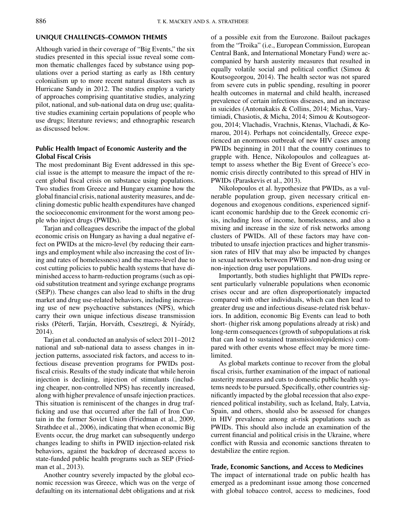### **UNIQUE CHALLENGES–COMMON THEMES**

Although varied in their coverage of "Big Events," the six studies presented in this special issue reveal some common thematic challenges faced by substance using populations over a period starting as early as 18th century colonialism up to more recent natural disasters such as Hurricane Sandy in 2012. The studies employ a variety of approaches comprising quantitative studies, analyzing pilot, national, and sub-national data on drug use; qualitative studies examining certain populations of people who use drugs; literature reviews; and ethnographic research as discussed below.

### **Public Health Impact of Economic Austerity and the Global Fiscal Crisis**

The most predominant Big Event addressed in this special issue is the attempt to measure the impact of the recent global fiscal crisis on substance using populations. Two studies from Greece and Hungary examine how the global financial crisis, national austerity measures, and declining domestic public health expenditures have changed the socioeconomic environment for the worst among people who inject drugs (PWIDs).

Tarjan and colleagues describe the impact of the global economic crisis on Hungary as having a dual negative effect on PWIDs at the micro-level (by reducing their earnings and employment while also increasing the cost of living and rates of homelessness) and the macro-level due to cost cutting policies to public health systems that have diminished access to harm-reduction programs (such as opioid substitution treatment and syringe exchange programs (SEP)). These changes can also lead to shifts in the drug market and drug use-related behaviors, including increasing use of new psychoactive substances (NPS), which carry their own unique infectious disease transmission risks (Péterfi, Tarján, Horváth, Csesztregi, & Nyírády, 2014).

Tarjan et al. conducted an analysis of select 2011–2012 national and sub-national data to assess changes in injection patterns, associated risk factors, and access to infectious disease prevention programs for PWIDs postfiscal crisis. Results of the study indicate that while heroin injection is declining, injection of stimulants (including cheaper, non-controlled NPS) has recently increased, along with higher prevalence of unsafe injection practices. This situation is reminiscent of the changes in drug trafficking and use that occurred after the fall of Iron Curtain in the former Soviet Union (Friedman et al., 2009, Strathdee et al., 2006), indicating that when economic Big Events occur, the drug market can subsequently undergo changes leading to shifts in PWID injection-related risk behaviors, against the backdrop of decreased access to state-funded public health programs such as SEP (Friedman et al., 2013).

Another country severely impacted by the global economic recession was Greece, which was on the verge of defaulting on its international debt obligations and at risk of a possible exit from the Eurozone. Bailout packages from the "Troika" (i.e., European Commission, European Central Bank, and International Monetary Fund) were accompanied by harsh austerity measures that resulted in equally volatile social and political conflict (Simou & Koutsogeorgou, 2014). The health sector was not spared from severe cuts in public spending, resulting in poorer health outcomes in maternal and child health, increased prevalence of certain infectious diseases, and an increase in suicides (Antonakakis & Collins, 2014; Michas, Varytimiadi, Chasiotis, & Micha, 2014; Simou & Koutsogeorgou, 2014; Vlachadis, Vrachnis, Ktenas, Vlachadi, & Kornarou, 2014). Perhaps not coincidentally, Greece experienced an enormous outbreak of new HIV cases among PWIDs beginning in 2011 that the country continues to grapple with. Hence, Nikolopoulos and colleagues attempt to assess whether the Big Event of Greece's economic crisis directly contributed to this spread of HIV in PWIDs (Paraskevis et al., 2013).

Nikolopoulos et al. hypothesize that PWIDs, as a vulnerable population group, given necessary critical endogenous and exogenous conditions, experienced significant economic hardship due to the Greek economic crisis, including loss of income, homelessness, and also a mixing and increase in the size of risk networks among clusters of PWIDs. All of these factors may have contributed to unsafe injection practices and higher transmission rates of HIV that may also be impacted by changes in sexual networks between PWID and non-drug using or non-injection drug user populations.

Importantly, both studies highlight that PWIDs represent particularly vulnerable populations when economic crises occur and are often disproportionately impacted compared with other individuals, which can then lead to greater drug use and infectious disease-related risk behaviors. In addition, economic Big Events can lead to both short- (higher risk among populations already at risk) and long-term consequences (growth of subpopulations at risk that can lead to sustained transmission/epidemics) compared with other events whose effect may be more timelimited.

As global markets continue to recover from the global fiscal crisis, further examination of the impact of national austerity measures and cuts to domestic public health systems needs to be pursued. Specifically, other countries significantly impacted by the global recession that also experienced political instability, such as Iceland, Italy, Latvia, Spain, and others, should also be assessed for changes in HIV prevalence among at-risk populations such as PWIDs. This should also include an examination of the current financial and political crisis in the Ukraine, where conflict with Russia and economic sanctions threaten to destabilize the entire region.

#### **Trade, Economic Sanctions, and Access to Medicines**

The impact of international trade on public health has emerged as a predominant issue among those concerned with global tobacco control, access to medicines, food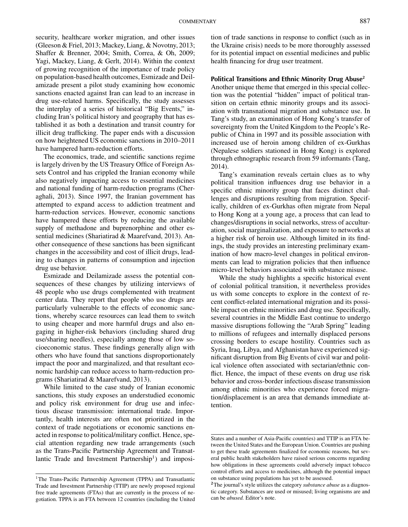security, healthcare worker migration, and other issues (Gleeson & Friel, 2013; Mackey, Liang, & Novotny, 2013; Shaffer & Brenner, 2004; Smith, Correa, & Oh, 2009; Yagi, Mackey, Liang, & Gerlt, 2014). Within the context of growing recognition of the importance of trade policy on population-based health outcomes, Esmizade and Deilamizade present a pilot study examining how economic sanctions enacted against Iran can lead to an increase in drug use-related harms. Specifically, the study assesses the interplay of a series of historical "Big Events," including Iran's political history and geography that has established it as both a destination and transit country for illicit drug trafficking. The paper ends with a discussion on how heightened US economic sanctions in 2010–2011 have hampered harm-reduction efforts.

The economics, trade, and scientific sanctions regime is largely driven by the US Treasury Office of Foreign Assets Control and has crippled the Iranian economy while also negatively impacting access to essential medicines and national funding of harm-reduction programs (Cheraghali, 2013). Since 1997, the Iranian government has attempted to expand access to addiction treatment and harm-reduction services. However, economic sanctions have hampered these efforts by reducing the available supply of methadone and buprenorphine and other essential medicines (Shariatirad & Maarefvand, 2013). Another consequence of these sanctions has been significant changes in the accessibility and cost of illicit drugs, leading to changes in patterns of consumption and injection drug use behavior.

Esmizade and Deilamizade assess the potential consequences of these changes by utilizing interviews of 48 people who use drugs complemented with treatment center data. They report that people who use drugs are particularly vulnerable to the effects of economic sanctions, whereby scarce resources can lead them to switch to using cheaper and more harmful drugs and also engaging in higher-risk behaviors (including shared drug use/sharing needles), especially among those of low socioeconomic status. These findings generally align with others who have found that sanctions disproportionately impact the poor and marginalized, and that resultant economic hardship can reduce access to harm-reduction programs (Shariatirad & Maarefvand, 2013).

While limited to the case study of Iranian economic sanctions, this study exposes an understudied economic and policy risk environment for drug use and infectious disease transmission: international trade. Importantly, health interests are often not prioritized in the context of trade negotiations or economic sanctions enacted in response to political/military conflict. Hence, special attention regarding new trade arrangements (such as the Trans-Pacific Partnership Agreement and Transatlantic Trade and Investment Partnership<sup>1</sup>) and imposition of trade sanctions in response to conflict (such as in the Ukraine crisis) needs to be more thoroughly assessed for its potential impact on essential medicines and public health financing for drug user treatment.

#### **Political Transitions and Ethnic Minority Drug Abuse2**

Another unique theme that emerged in this special collection was the potential "hidden" impact of political transition on certain ethnic minority groups and its association with transnational migration and substance use. In Tang's study, an examination of Hong Kong's transfer of sovereignty from the United Kingdom to the People's Republic of China in 1997 and its possible association with increased use of heroin among children of ex-Gurkhas (Nepalese soldiers stationed in Hong Kong) is explored through ethnographic research from 59 informants (Tang, 2014).

Tang's examination reveals certain clues as to why political transition influences drug use behavior in a specific ethnic minority group that faces distinct challenges and disruptions resulting from migration. Specifically, children of ex-Gurkhas often migrate from Nepal to Hong Kong at a young age, a process that can lead to changes/disruptions in social networks, stress of acculturation, social marginalization, and exposure to networks at a higher risk of heroin use. Although limited in its findings, the study provides an interesting preliminary examination of how macro-level changes in political environments can lead to migration policies that then influence micro-level behaviors associated with substance misuse.

While the study highlights a specific historical event of colonial political transition, it nevertheless provides us with some concepts to explore in the context of recent conflict-related international migration and its possible impact on ethnic minorities and drug use. Specifically, several countries in the Middle East continue to undergo massive disruptions following the "Arab Spring" leading to millions of refugees and internally displaced persons crossing borders to escape hostility. Countries such as Syria, Iraq, Libya, and Afghanistan have experienced significant disruption from Big Events of civil war and political violence often associated with sectarian/ethnic conflict. Hence, the impact of these events on drug use risk behavior and cross-border infectious disease transmission among ethnic minorities who experience forced migration/displacement is an area that demands immediate attention.

<sup>&</sup>lt;sup>1</sup>The Trans-Pacific Partnership Agreement (TPPA) and Transatlantic Trade and Investment Partnership (TTIP) are newly proposed regional free trade agreements (FTAs) that are currently in the process of negotiation. TPPA is an FTA between 12 countries (including the United

States and a number of Asia-Pacific countries) and TTIP is an FTA between the United States and the European Union. Countries are pushing to get these trade agreements finalized for economic reasons, but several public health stakeholders have raised serious concerns regarding how obligations in these agreements could adversely impact tobacco control efforts and access to medicines, although the potential impact on substance using populations has yet to be assessed.

**<sup>2</sup>**The journal's style utilizes the category *substance abuse* as a diagnostic category. Substances are used or misused; living organisms are and can be *abused.* Editor's note.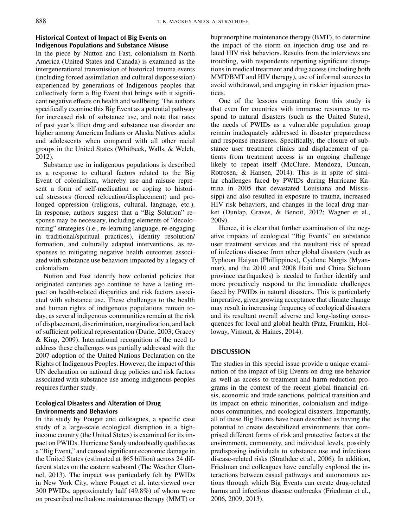## **Historical Context of Impact of Big Events on Indigenous Populations and Substance Misuse**

In the piece by Nutton and Fast, colonialism in North America (United States and Canada) is examined as the intergenerational transmission of historical trauma events (including forced assimilation and cultural dispossession) experienced by generations of Indigenous peoples that collectively form a Big Event that brings with it significant negative effects on health and wellbeing. The authors specifically examine this Big Event as a potential pathway for increased risk of substance use, and note that rates of past year's illicit drug and substance use disorder are higher among American Indians or Alaska Natives adults and adolescents when compared with all other racial groups in the United States (Whitbeck, Walls, & Welch, 2012).

Substance use in indigenous populations is described as a response to cultural factors related to the Big Event of colonialism, whereby use and misuse represent a form of self-medication or coping to historical stressors (forced relocation/displacement) and prolonged oppression (religious, cultural, language, etc.). In response, authors suggest that a "Big Solution" response may be necessary, including elements of "decolonizing" strategies (i.e., re-learning language, re-engaging in traditional/spiritual practices), identity resolution/ formation, and culturally adapted interventions, as responses to mitigating negative health outcomes associated with substance use behaviors impacted by a legacy of colonialism.

Nutton and Fast identify how colonial policies that originated centuries ago continue to have a lasting impact on health-related disparities and risk factors associated with substance use. These challenges to the health and human rights of indigenous populations remain today, as several indigenous communities remain at the risk of displacement, discrimination, marginalization, and lack of sufficient political representation (Durie, 2003; Gracey & King, 2009). International recognition of the need to address these challenges was partially addressed with the 2007 adoption of the United Nations Declaration on the Rights of Indigenous Peoples. However, the impact of this UN declaration on national drug policies and risk factors associated with substance use among indigenous peoples requires further study.

## **Ecological Disasters and Alteration of Drug Environments and Behaviors**

In the study by Pouget and colleagues, a specific case study of a large-scale ecological disruption in a highincome country (the United States) is examined for its impact on PWIDs. Hurricane Sandy undoubtedly qualifies as a "Big Event," and caused significant economic damage in the United States (estimated at \$65 billion) across 24 different states on the eastern seaboard (The Weather Channel, 2013). The impact was particularly felt by PWIDs in New York City, where Pouget et al. interviewed over 300 PWIDs, approximately half (49.8%) of whom were on prescribed methadone maintenance therapy (MMT) or

buprenorphine maintenance therapy (BMT), to determine the impact of the storm on injection drug use and related HIV risk behaviors. Results from the interviews are troubling, with respondents reporting significant disruptions in medical treatment and drug access (including both MMT/BMT and HIV therapy), use of informal sources to avoid withdrawal, and engaging in riskier injection practices.

One of the lessons emanating from this study is that even for countries with immense resources to respond to natural disasters (such as the United States), the needs of PWIDs as a vulnerable population group remain inadequately addressed in disaster preparedness and response measures. Specifically, the closure of substance user treatment clinics and displacement of patients from treatment access is an ongoing challenge likely to repeat itself (McClure, Mendoza, Duncan, Rotrosen, & Hansen, 2014). This is in spite of similar challenges faced by PWIDs during Hurricane Katrina in 2005 that devastated Louisiana and Mississippi and also resulted in exposure to trauma, increased HIV risk behaviors, and changes in the local drug market (Dunlap, Graves, & Benoit, 2012; Wagner et al., 2009).

Hence, it is clear that further examination of the negative impacts of ecological "Big Events" on substance user treatment services and the resultant risk of spread of infectious disease from other global disasters (such as Typhoon Haiyan (Phillippines), Cyclone Nargis (Myanmar), and the 2010 and 2008 Haiti and China Sichuan province earthquakes) is needed to further identify and more proactively respond to the immediate challenges faced by PWIDs in natural disasters. This is particularly imperative, given growing acceptance that climate change may result in increasing frequency of ecological disasters and its resultant overall adverse and long-lasting consequences for local and global health (Patz, Frumkin, Holloway, Vimont, & Haines, 2014).

## **DISCUSSION**

The studies in this special issue provide a unique examination of the impact of Big Events on drug use behavior as well as access to treatment and harm-reduction programs in the context of the recent global financial crisis, economic and trade sanctions, political transition and its impact on ethnic minorities, colonialism and indigenous communities, and ecological disasters. Importantly, all of these Big Events have been described as having the potential to create destabilized environments that comprised different forms of risk and protective factors at the environment, community, and individual levels, possibly predisposing individuals to substance use and infectious disease-related risks (Strathdee et al., 2006). In addition, Friedman and colleagues have carefully explored the interactions between casual pathways and autonomous actions through which Big Events can create drug-related harms and infectious disease outbreaks (Friedman et al., 2006, 2009, 2013).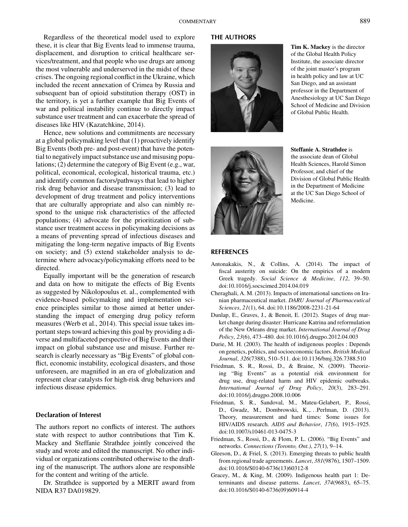Regardless of the theoretical model used to explore these, it is clear that Big Events lead to immense trauma, displacement, and disruption to critical healthcare services/treatment, and that people who use drugs are among the most vulnerable and underserved in the midst of these crises. The ongoing regional conflict in the Ukraine, which included the recent annexation of Crimea by Russia and subsequent ban of opioid substitution therapy (OST) in the territory, is yet a further example that Big Events of war and political instability continue to directly impact substance user treatment and can exacerbate the spread of diseases like HIV (Kazatchkine, 2014).

Hence, new solutions and commitments are necessary at a global policymaking level that (1) proactively identify Big Events (both pre- and post-event) that have the potential to negatively impact substance use and misusing populations; (2) determine the category of Big Event (e.g., war, political, economical, ecological, historical trauma, etc.) and identify common factors/pathways that lead to higher risk drug behavior and disease transmission; (3) lead to development of drug treatment and policy interventions that are culturally appropriate and also can nimbly respond to the unique risk characteristics of the affected populations; (4) advocate for the prioritization of substance user treatment access in policymaking decisions as a means of preventing spread of infectious diseases and mitigating the long-term negative impacts of Big Events on society; and (5) extend stakeholder analysis to determine where advocacy/policymaking efforts need to be directed.

Equally important will be the generation of research and data on how to mitigate the effects of Big Events as suggested by Nikolopoulus et. al., complemented with evidence-based policymaking and implementation science principles similar to those aimed at better understanding the impact of emerging drug policy reform measures (Werb et al., 2014). This special issue takes important steps toward achieving this goal by providing a diverse and multifaceted perspective of Big Events and their impact on global substance use and misuse. Further research is clearly necessary as "Big Events" of global conflict, economic instability, ecological disasters, and those unforeseen, are magnified in an era of globalization and represent clear catalysts for high-risk drug behaviors and infectious disease epidemics.

#### **Declaration of Interest**

The authors report no conflicts of interest. The authors state with respect to author contributions that Tim K. Mackey and Steffanie Strathdee jointly conceived the study and wrote and edited the manuscript. No other individual or organizations contributed otherwise to the drafting of the manuscript. The authors alone are responsible for the content and writing of the article.

Dr. Strathdee is supported by a MERIT award from NIDA R37 DA019829.

## **THE AUTHORS**



**Tim K. Mackey** is the director of the Global Health Policy Institute, the associate director of the joint master's program in health policy and law at UC San Diego, and an assistant professor in the Department of Anesthesiology at UC San Diego School of Medicine and Division of Global Public Health.



**Steffanie A. Strathdee** is the associate dean of Global Professor, and chief of the

Health Sciences, Harold Simon Division of Global Public Health in the Department of Medicine at the UC San Diego School of Medicine.

#### **REFERENCES**

- Antonakakis, N., & Collins, A. (2014). The impact of fiscal austerity on suicide: On the empirics of a modern Greek tragedy. *Social Science & Medicine*, *112*, 39–50. doi:10.1016/j.socscimed.2014.04.019
- Cheraghali, A. M. (2013). Impacts of international sanctions on Iranian pharmaceutical market. *DARU Journal of Pharmaceutical Sciences*, *21*(1), 64. doi:10.1186/2008-2231-21-64
- Dunlap, E., Graves, J., & Benoit, E. (2012). Stages of drug market change during disaster: Hurricane Katrina and reformulation of the New Orleans drug market. *International Journal of Drug Policy*, *23*(6), 473–480. doi:10.1016/j.drugpo.2012.04.003
- Durie, M. H. (2003). The health of indigenous peoples : Depends on genetics, politics, and socioeconomic factors. *British Medical Journal*, *326*(7388), 510–511. doi:10.1136/bmj.326.7388.510
- Friedman, S. R., Rossi, D., & Braine, N. (2009). Theorizing "Big Events" as a potential risk environment for drug use, drug-related harm and HIV epidemic outbreaks. *International Journal of Drug Policy*, *20*(3), 283–291. doi:10.1016/j.drugpo.2008.10.006
- Friedman, S. R., Sandoval, M., Mateu-Gelabert, P., Rossi, D., Gwadz, M., Dombrowski, K.,...Perlman, D. (2013). Theory, measurement and hard times: Some issues for HIV/AIDS research. *AIDS and Behavior*, *17*(6), 1915–1925. doi:10.1007/s10461-013-0475-3
- Friedman, S., Rossi, D., & Flom, P. L. (2006). "Big Events" and networks. *Connections (Toronto, Ont.)*, *27*(1), 9–14.
- Gleeson, D., & Friel, S. (2013). Emerging threats to public health from regional trade agreements. *Lancet*, *381*(9876), 1507–1509. doi:10.1016/S0140-6736(13)60312-8
- Gracey, M., & King, M. (2009). Indigenous health part 1: Determinants and disease patterns. *Lancet*, *374*(9683), 65–75. doi:10.1016/S0140-6736(09)60914-4